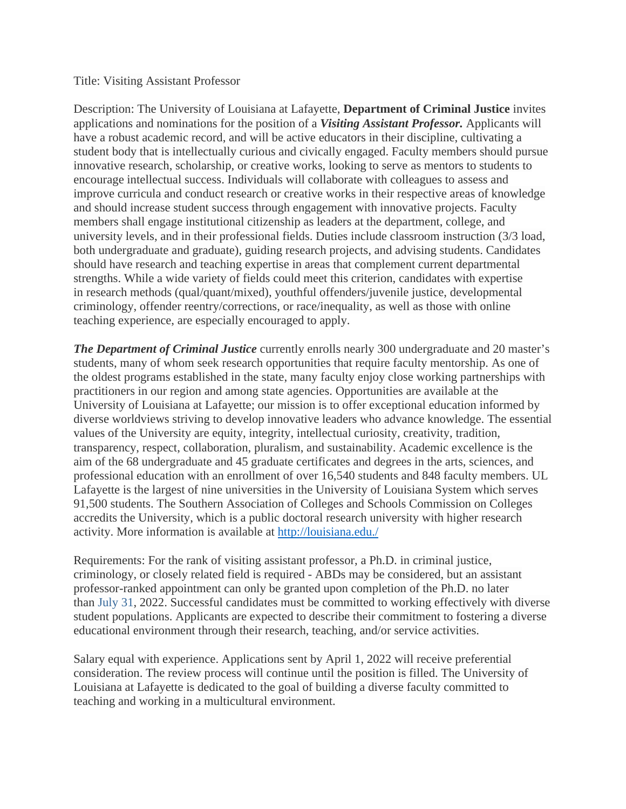## Title: Visiting Assistant Professor

Description: The University of Louisiana at Lafayette, **Department of Criminal Justice** invites applications and nominations for the position of a *Visiting Assistant Professor.* Applicants will have a robust academic record, and will be active educators in their discipline, cultivating a student body that is intellectually curious and civically engaged. Faculty members should pursue innovative research, scholarship, or creative works, looking to serve as mentors to students to encourage intellectual success. Individuals will collaborate with colleagues to assess and improve curricula and conduct research or creative works in their respective areas of knowledge and should increase student success through engagement with innovative projects. Faculty members shall engage institutional citizenship as leaders at the department, college, and university levels, and in their professional fields. Duties include classroom instruction (3/3 load, both undergraduate and graduate), guiding research projects, and advising students. Candidates should have research and teaching expertise in areas that complement current departmental strengths. While a wide variety of fields could meet this criterion, candidates with expertise in research methods (qual/quant/mixed), youthful offenders/juvenile justice, developmental criminology, offender reentry/corrections, or race/inequality, as well as those with online teaching experience, are especially encouraged to apply.

*The Department of Criminal Justice* currently enrolls nearly 300 undergraduate and 20 master's students, many of whom seek research opportunities that require faculty mentorship. As one of the oldest programs established in the state, many faculty enjoy close working partnerships with practitioners in our region and among state agencies. Opportunities are available at the University of Louisiana at Lafayette; our mission is to offer exceptional education informed by diverse worldviews striving to develop innovative leaders who advance knowledge. The essential values of the University are equity, integrity, intellectual curiosity, creativity, tradition, transparency, respect, collaboration, pluralism, and sustainability. Academic excellence is the aim of the 68 undergraduate and 45 graduate certificates and degrees in the arts, sciences, and professional education with an enrollment of over 16,540 students and 848 faculty members. UL Lafayette is the largest of nine universities in the University of Louisiana System which serves 91,500 students. The Southern Association of Colleges and Schools Commission on Colleges accredits the University, which is a public doctoral research university with higher research activity. More information is available at<http://louisiana.edu./>

Requirements: For the rank of visiting assistant professor, a Ph.D. in criminal justice, criminology, or closely related field is required - ABDs may be considered, but an assistant professor-ranked appointment can only be granted upon completion of the Ph.D. no later than July 31, 2022. Successful candidates must be committed to working effectively with diverse student populations. Applicants are expected to describe their commitment to fostering a diverse educational environment through their research, teaching, and/or service activities.

Salary equal with experience. Applications sent by April 1, 2022 will receive preferential consideration. The review process will continue until the position is filled. The University of Louisiana at Lafayette is dedicated to the goal of building a diverse faculty committed to teaching and working in a multicultural environment.